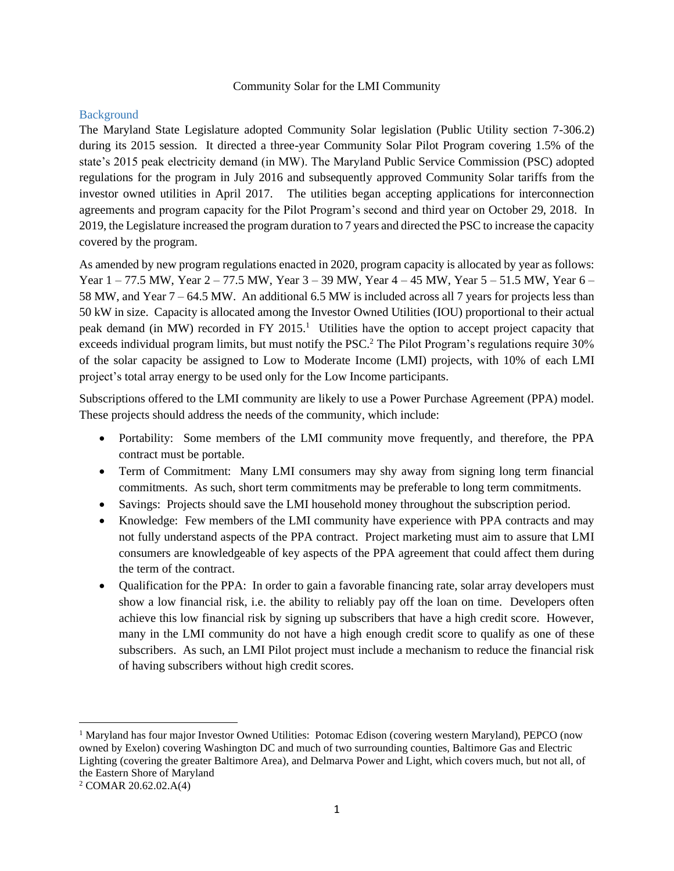#### Community Solar for the LMI Community

## **Background**

The Maryland State Legislature adopted Community Solar legislation (Public Utility section 7-306.2) during its 2015 session. It directed a three-year Community Solar Pilot Program covering 1.5% of the state's 2015 peak electricity demand (in MW). The Maryland Public Service Commission (PSC) adopted regulations for the program in July 2016 and subsequently approved Community Solar tariffs from the investor owned utilities in April 2017. The utilities began accepting applications for interconnection agreements and program capacity for the Pilot Program's second and third year on October 29, 2018. In 2019, the Legislature increased the program duration to 7 years and directed the PSC to increase the capacity covered by the program.

As amended by new program regulations enacted in 2020, program capacity is allocated by year as follows: Year 1 – 77.5 MW, Year 2 – 77.5 MW, Year 3 – 39 MW, Year 4 – 45 MW, Year 5 – 51.5 MW, Year 6 – 58 MW, and Year 7 – 64.5 MW. An additional 6.5 MW is included across all 7 years for projects less than 50 kW in size. Capacity is allocated among the Investor Owned Utilities (IOU) proportional to their actual peak demand (in MW) recorded in FY 2015.<sup>1</sup> Utilities have the option to accept project capacity that exceeds individual program limits, but must notify the PSC.<sup>2</sup> The Pilot Program's regulations require 30% of the solar capacity be assigned to Low to Moderate Income (LMI) projects, with 10% of each LMI project's total array energy to be used only for the Low Income participants.

Subscriptions offered to the LMI community are likely to use a Power Purchase Agreement (PPA) model. These projects should address the needs of the community, which include:

- Portability: Some members of the LMI community move frequently, and therefore, the PPA contract must be portable.
- Term of Commitment: Many LMI consumers may shy away from signing long term financial commitments. As such, short term commitments may be preferable to long term commitments.
- Savings: Projects should save the LMI household money throughout the subscription period.
- Knowledge: Few members of the LMI community have experience with PPA contracts and may not fully understand aspects of the PPA contract. Project marketing must aim to assure that LMI consumers are knowledgeable of key aspects of the PPA agreement that could affect them during the term of the contract.
- Qualification for the PPA: In order to gain a favorable financing rate, solar array developers must show a low financial risk, i.e. the ability to reliably pay off the loan on time. Developers often achieve this low financial risk by signing up subscribers that have a high credit score. However, many in the LMI community do not have a high enough credit score to qualify as one of these subscribers. As such, an LMI Pilot project must include a mechanism to reduce the financial risk of having subscribers without high credit scores.

<sup>&</sup>lt;sup>1</sup> Maryland has four major Investor Owned Utilities: Potomac Edison (covering western Maryland), PEPCO (now owned by Exelon) covering Washington DC and much of two surrounding counties, Baltimore Gas and Electric Lighting (covering the greater Baltimore Area), and Delmarva Power and Light, which covers much, but not all, of the Eastern Shore of Maryland

<sup>2</sup> COMAR 20.62.02.A(4)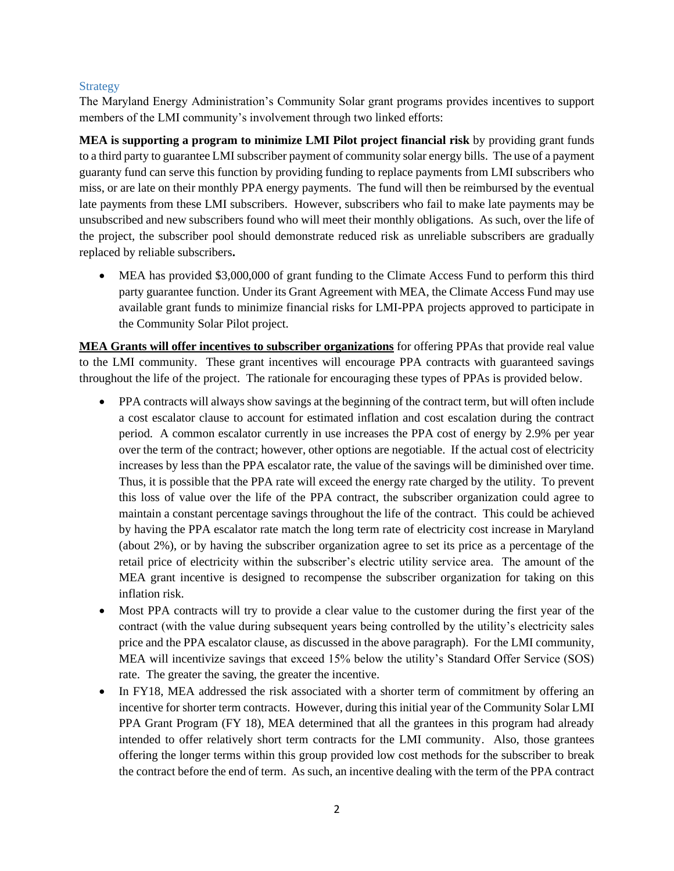#### **Strategy**

The Maryland Energy Administration's Community Solar grant programs provides incentives to support members of the LMI community's involvement through two linked efforts:

**MEA is supporting a program to minimize LMI Pilot project financial risk** by providing grant funds to a third party to guarantee LMI subscriber payment of community solar energy bills. The use of a payment guaranty fund can serve this function by providing funding to replace payments from LMI subscribers who miss, or are late on their monthly PPA energy payments. The fund will then be reimbursed by the eventual late payments from these LMI subscribers. However, subscribers who fail to make late payments may be unsubscribed and new subscribers found who will meet their monthly obligations. As such, over the life of the project, the subscriber pool should demonstrate reduced risk as unreliable subscribers are gradually replaced by reliable subscribers**.**

• MEA has provided \$3,000,000 of grant funding to the Climate Access Fund to perform this third party guarantee function. Under its Grant Agreement with MEA, the Climate Access Fund may use available grant funds to minimize financial risks for LMI-PPA projects approved to participate in the Community Solar Pilot project.

**MEA Grants will offer incentives to subscriber organizations** for offering PPAs that provide real value to the LMI community. These grant incentives will encourage PPA contracts with guaranteed savings throughout the life of the project. The rationale for encouraging these types of PPAs is provided below.

- PPA contracts will always show savings at the beginning of the contract term, but will often include a cost escalator clause to account for estimated inflation and cost escalation during the contract period. A common escalator currently in use increases the PPA cost of energy by 2.9% per year over the term of the contract; however, other options are negotiable. If the actual cost of electricity increases by less than the PPA escalator rate, the value of the savings will be diminished over time. Thus, it is possible that the PPA rate will exceed the energy rate charged by the utility. To prevent this loss of value over the life of the PPA contract, the subscriber organization could agree to maintain a constant percentage savings throughout the life of the contract. This could be achieved by having the PPA escalator rate match the long term rate of electricity cost increase in Maryland (about 2%), or by having the subscriber organization agree to set its price as a percentage of the retail price of electricity within the subscriber's electric utility service area. The amount of the MEA grant incentive is designed to recompense the subscriber organization for taking on this inflation risk.
- Most PPA contracts will try to provide a clear value to the customer during the first year of the contract (with the value during subsequent years being controlled by the utility's electricity sales price and the PPA escalator clause, as discussed in the above paragraph). For the LMI community, MEA will incentivize savings that exceed 15% below the utility's Standard Offer Service (SOS) rate. The greater the saving, the greater the incentive.
- In FY18, MEA addressed the risk associated with a shorter term of commitment by offering an incentive for shorter term contracts. However, during this initial year of the Community Solar LMI PPA Grant Program (FY 18), MEA determined that all the grantees in this program had already intended to offer relatively short term contracts for the LMI community. Also, those grantees offering the longer terms within this group provided low cost methods for the subscriber to break the contract before the end of term. As such, an incentive dealing with the term of the PPA contract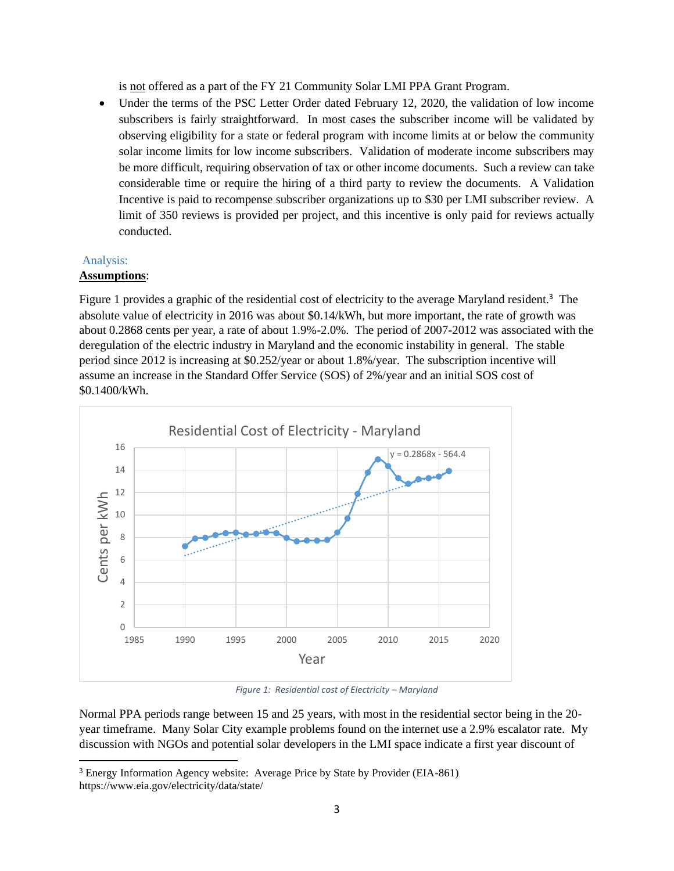is not offered as a part of the FY 21 Community Solar LMI PPA Grant Program.

• Under the terms of the PSC Letter Order dated February 12, 2020, the validation of low income subscribers is fairly straightforward. In most cases the subscriber income will be validated by observing eligibility for a state or federal program with income limits at or below the community solar income limits for low income subscribers. Validation of moderate income subscribers may be more difficult, requiring observation of tax or other income documents. Such a review can take considerable time or require the hiring of a third party to review the documents. A Validation Incentive is paid to recompense subscriber organizations up to \$30 per LMI subscriber review. A limit of 350 reviews is provided per project, and this incentive is only paid for reviews actually conducted.

## Analysis: **Assumptions**:

Figure 1 provides a graphic of the residential cost of electricity to the average Maryland resident.<sup>3</sup> The absolute value of electricity in 2016 was about \$0.14/kWh, but more important, the rate of growth was about 0.2868 cents per year, a rate of about 1.9%-2.0%. The period of 2007-2012 was associated with the deregulation of the electric industry in Maryland and the economic instability in general. The stable period since 2012 is increasing at \$0.252/year or about 1.8%/year. The subscription incentive will assume an increase in the Standard Offer Service (SOS) of 2%/year and an initial SOS cost of \$0.1400/kWh.



*Figure 1: Residential cost of Electricity – Maryland* 

Normal PPA periods range between 15 and 25 years, with most in the residential sector being in the 20 year timeframe. Many Solar City example problems found on the internet use a 2.9% escalator rate. My discussion with NGOs and potential solar developers in the LMI space indicate a first year discount of

<sup>3</sup> Energy Information Agency website: Average Price by State by Provider (EIA-861) https://www.eia.gov/electricity/data/state/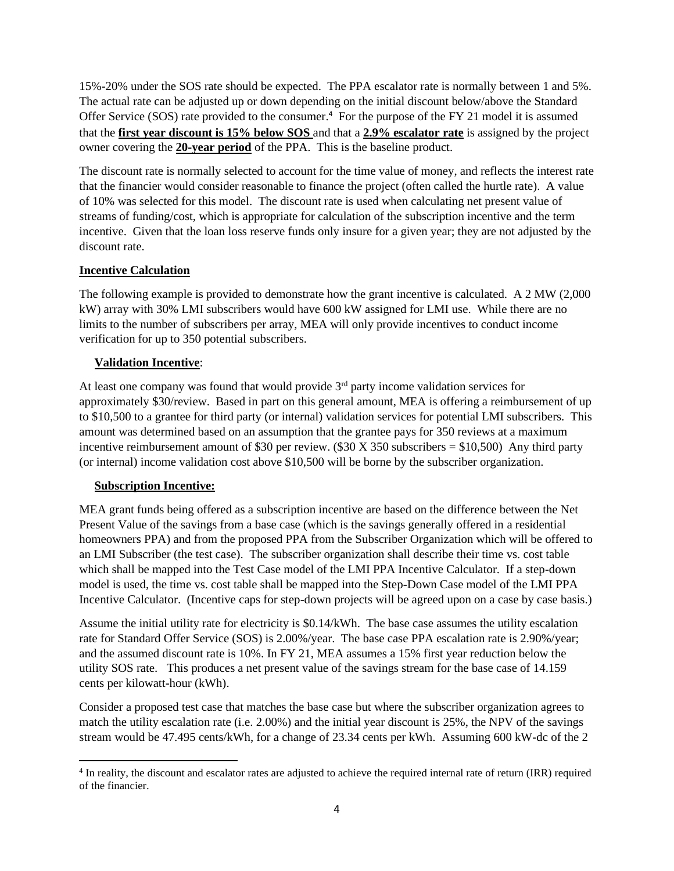15%-20% under the SOS rate should be expected. The PPA escalator rate is normally between 1 and 5%. The actual rate can be adjusted up or down depending on the initial discount below/above the Standard Offer Service (SOS) rate provided to the consumer.<sup>4</sup> For the purpose of the FY 21 model it is assumed that the **first year discount is 15% below SOS** and that a **2.9% escalator rate** is assigned by the project owner covering the **20-year period** of the PPA. This is the baseline product.

The discount rate is normally selected to account for the time value of money, and reflects the interest rate that the financier would consider reasonable to finance the project (often called the hurtle rate). A value of 10% was selected for this model. The discount rate is used when calculating net present value of streams of funding/cost, which is appropriate for calculation of the subscription incentive and the term incentive. Given that the loan loss reserve funds only insure for a given year; they are not adjusted by the discount rate.

# **Incentive Calculation**

The following example is provided to demonstrate how the grant incentive is calculated. A 2 MW (2,000 kW) array with 30% LMI subscribers would have 600 kW assigned for LMI use. While there are no limits to the number of subscribers per array, MEA will only provide incentives to conduct income verification for up to 350 potential subscribers.

## **Validation Incentive**:

At least one company was found that would provide  $3<sup>rd</sup>$  party income validation services for approximately \$30/review. Based in part on this general amount, MEA is offering a reimbursement of up to \$10,500 to a grantee for third party (or internal) validation services for potential LMI subscribers. This amount was determined based on an assumption that the grantee pays for 350 reviews at a maximum incentive reimbursement amount of \$30 per review. (\$30 X 350 subscribers  $= $10,500$ ) Any third party (or internal) income validation cost above \$10,500 will be borne by the subscriber organization.

## **Subscription Incentive:**

MEA grant funds being offered as a subscription incentive are based on the difference between the Net Present Value of the savings from a base case (which is the savings generally offered in a residential homeowners PPA) and from the proposed PPA from the Subscriber Organization which will be offered to an LMI Subscriber (the test case). The subscriber organization shall describe their time vs. cost table which shall be mapped into the Test Case model of the LMI PPA Incentive Calculator. If a step-down model is used, the time vs. cost table shall be mapped into the Step-Down Case model of the LMI PPA Incentive Calculator. (Incentive caps for step-down projects will be agreed upon on a case by case basis.)

Assume the initial utility rate for electricity is \$0.14/kWh. The base case assumes the utility escalation rate for Standard Offer Service (SOS) is 2.00%/year. The base case PPA escalation rate is 2.90%/year; and the assumed discount rate is 10%. In FY 21, MEA assumes a 15% first year reduction below the utility SOS rate. This produces a net present value of the savings stream for the base case of 14.159 cents per kilowatt-hour (kWh).

Consider a proposed test case that matches the base case but where the subscriber organization agrees to match the utility escalation rate (i.e. 2.00%) and the initial year discount is 25%, the NPV of the savings stream would be 47.495 cents/kWh, for a change of 23.34 cents per kWh. Assuming 600 kW-dc of the 2

<sup>&</sup>lt;sup>4</sup> In reality, the discount and escalator rates are adjusted to achieve the required internal rate of return (IRR) required of the financier.